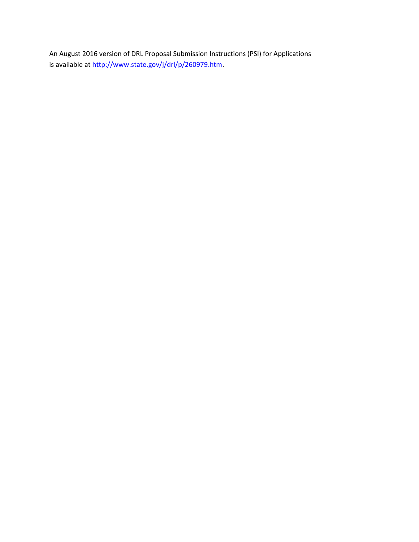An August 2016 version of DRL Proposal Submission Instructions (PSI) for Applications is available at [http://www.state.gov/j/drl/p/260979.htm.](http://www.state.gov/j/drl/p/260979.htm)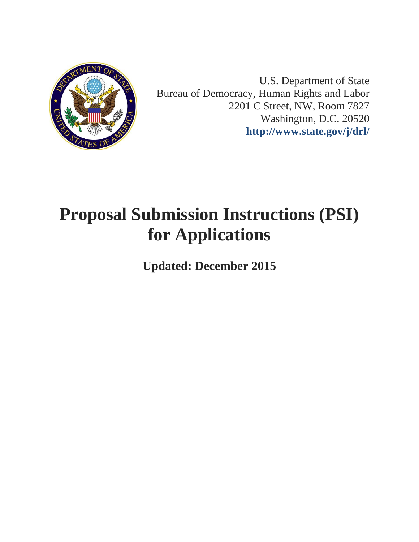

U.S. Department of State Bureau of Democracy, Human Rights and Labor 2201 C Street, NW, Room 7827 Washington, D.C. 20520 **<http://www.state.gov/j/drl/>**

# **Proposal Submission Instructions (PSI) for Applications**

**Updated: December 2015**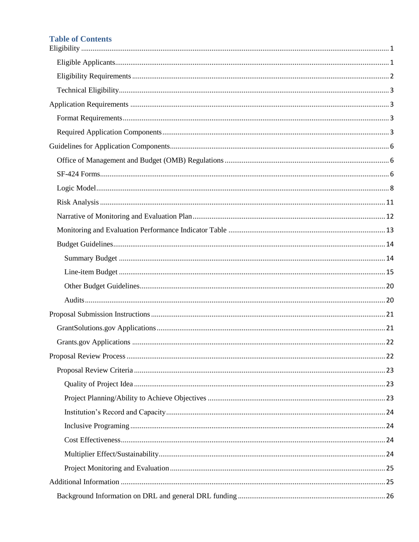# **Table of Contents**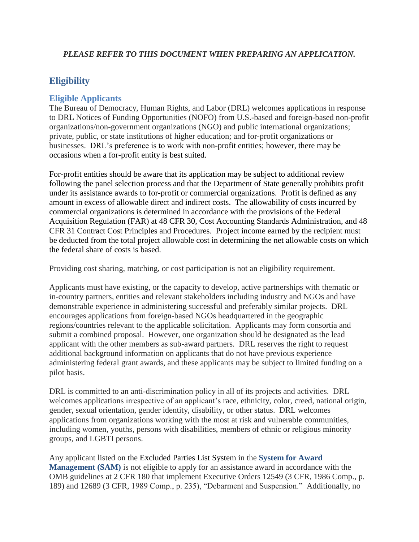## *PLEASE REFER TO THIS DOCUMENT WHEN PREPARING AN APPLICATION.*

# <span id="page-3-0"></span>**Eligibility**

## <span id="page-3-1"></span>**Eligible Applicants**

The Bureau of Democracy, Human Rights, and Labor (DRL) welcomes applications in response to DRL Notices of Funding Opportunities (NOFO) from U.S.-based and foreign-based non-profit organizations/non-government organizations (NGO) and public international organizations; private, public, or state institutions of higher education; and for-profit organizations or businesses. DRL's preference is to work with non-profit entities; however, there may be occasions when a for-profit entity is best suited.

For-profit entities should be aware that its application may be subject to additional review following the panel selection process and that the Department of State generally prohibits profit under its assistance awards to for-profit or commercial organizations. Profit is defined as any amount in excess of allowable direct and indirect costs. The allowability of costs incurred by commercial organizations is determined in accordance with the provisions of the Federal Acquisition Regulation (FAR) at 48 CFR 30, Cost Accounting Standards Administration, and 48 CFR 31 Contract Cost Principles and Procedures. Project income earned by the recipient must be deducted from the total project allowable cost in determining the net allowable costs on which the federal share of costs is based.

Providing cost sharing, matching, or cost participation is not an eligibility requirement.

Applicants must have existing, or the capacity to develop, active partnerships with thematic or in-country partners, entities and relevant stakeholders including industry and NGOs and have demonstrable experience in administering successful and preferably similar projects. DRL encourages applications from foreign-based NGOs headquartered in the geographic regions/countries relevant to the applicable solicitation. Applicants may form consortia and submit a combined proposal. However, one organization should be designated as the lead applicant with the other members as sub-award partners. DRL reserves the right to request additional background information on applicants that do not have previous experience administering federal grant awards, and these applicants may be subject to limited funding on a pilot basis.

DRL is committed to an anti-discrimination policy in all of its projects and activities. DRL welcomes applications irrespective of an applicant's race, ethnicity, color, creed, national origin, gender, sexual orientation, gender identity, disability, or other status. DRL welcomes applications from organizations working with the most at risk and vulnerable communities, including women, youths, persons with disabilities, members of ethnic or religious minority groups, and LGBTI persons.

Any applicant listed on the Excluded Parties List System in the **[System for Award](https://www.sam.gov/)  [Management \(SAM\)](https://www.sam.gov/)** is not eligible to apply for an assistance award in accordance with the OMB guidelines at 2 CFR 180 that implement Executive Orders 12549 (3 CFR, 1986 Comp., p. 189) and 12689 (3 CFR, 1989 Comp., p. 235), "Debarment and Suspension." Additionally, no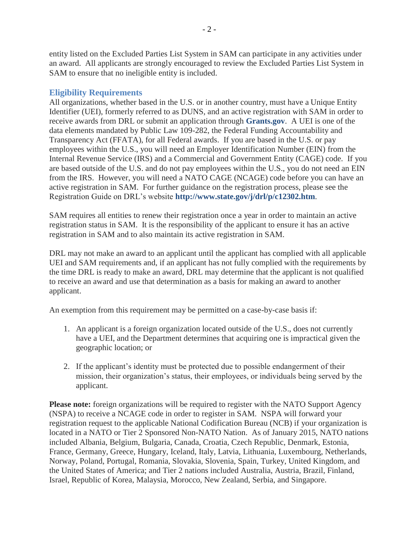entity listed on the Excluded Parties List System in SAM can participate in any activities under an award. All applicants are strongly encouraged to review the Excluded Parties List System in SAM to ensure that no ineligible entity is included.

## <span id="page-4-0"></span>**Eligibility Requirements**

All organizations, whether based in the U.S. or in another country, must have a Unique Entity Identifier (UEI), formerly referred to as DUNS, and an active registration with SAM in order to receive awards from DRL or submit an application through **[Grants.gov](http://www.grants.gov/)**. A UEI is one of the data elements mandated by Public Law 109-282, the Federal Funding Accountability and Transparency Act (FFATA), for all Federal awards. If you are based in the U.S. or pay employees within the U.S., you will need an Employer Identification Number (EIN) from the Internal Revenue Service (IRS) and a Commercial and Government Entity (CAGE) code. If you are based outside of the U.S. and do not pay employees within the U.S., you do not need an EIN from the IRS. However, you will need a NATO CAGE (NCAGE) code before you can have an active registration in SAM. For further guidance on the registration process, please see the Registration Guide on DRL's website **<http://www.state.gov/j/drl/p/c12302.htm>**.

SAM requires all entities to renew their registration once a year in order to maintain an active registration status in SAM. It is the responsibility of the applicant to ensure it has an active registration in SAM and to also maintain its active registration in SAM.

DRL may not make an award to an applicant until the applicant has complied with all applicable UEI and SAM requirements and, if an applicant has not fully complied with the requirements by the time DRL is ready to make an award, DRL may determine that the applicant is not qualified to receive an award and use that determination as a basis for making an award to another applicant.

An exemption from this requirement may be permitted on a case-by-case basis if:

- 1. An applicant is a foreign organization located outside of the U.S., does not currently have a UEI, and the Department determines that acquiring one is impractical given the geographic location; or
- 2. If the applicant's identity must be protected due to possible endangerment of their mission, their organization's status, their employees, or individuals being served by the applicant.

**Please note:** foreign organizations will be required to register with the NATO Support Agency (NSPA) to receive a NCAGE code in order to register in SAM. NSPA will forward your registration request to the applicable National Codification Bureau (NCB) if your organization is located in a NATO or Tier 2 Sponsored Non-NATO Nation. As of January 2015, NATO nations included Albania, Belgium, Bulgaria, Canada, Croatia, Czech Republic, Denmark, Estonia, France, Germany, Greece, Hungary, Iceland, Italy, Latvia, Lithuania, Luxembourg, Netherlands, Norway, Poland, Portugal, Romania, Slovakia, Slovenia, Spain, Turkey, United Kingdom, and the United States of America; and Tier 2 nations included Australia, Austria, Brazil, Finland, Israel, Republic of Korea, Malaysia, Morocco, New Zealand, Serbia, and Singapore.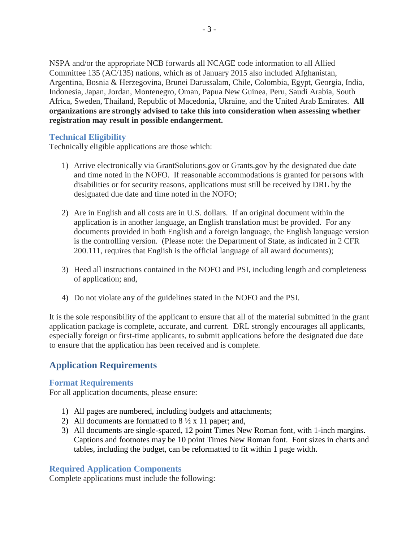NSPA and/or the appropriate NCB forwards all NCAGE code information to all Allied Committee 135 (AC/135) nations, which as of January 2015 also included Afghanistan, Argentina, Bosnia & Herzegovina, Brunei Darussalam, Chile, Colombia, Egypt, Georgia, India, Indonesia, Japan, Jordan, Montenegro, Oman, Papua New Guinea, Peru, Saudi Arabia, South Africa, Sweden, Thailand, Republic of Macedonia, Ukraine, and the United Arab Emirates. **All organizations are strongly advised to take this into consideration when assessing whether registration may result in possible endangerment.**

## <span id="page-5-0"></span>**Technical Eligibility**

Technically eligible applications are those which:

- 1) Arrive electronically via GrantSolutions.gov or Grants.gov by the designated due date and time noted in the NOFO. If reasonable accommodations is granted for persons with disabilities or for security reasons, applications must still be received by DRL by the designated due date and time noted in the NOFO;
- 2) Are in English and all costs are in U.S. dollars. If an original document within the application is in another language, an English translation must be provided. For any documents provided in both English and a foreign language, the English language version is the controlling version. (Please note: the Department of State, as indicated in 2 CFR 200.111, requires that English is the official language of all award documents);
- 3) Heed all instructions contained in the NOFO and PSI, including length and completeness of application; and,
- 4) Do not violate any of the guidelines stated in the NOFO and the PSI.

It is the sole responsibility of the applicant to ensure that all of the material submitted in the grant application package is complete, accurate, and current. DRL strongly encourages all applicants, especially foreign or first-time applicants, to submit applications before the designated due date to ensure that the application has been received and is complete.

# <span id="page-5-1"></span>**Application Requirements**

## <span id="page-5-2"></span>**Format Requirements**

For all application documents, please ensure:

- 1) All pages are numbered, including budgets and attachments;
- 2) All documents are formatted to  $8\frac{1}{2} \times 11$  paper; and,
- 3) All documents are single-spaced, 12 point Times New Roman font, with 1-inch margins. Captions and footnotes may be 10 point Times New Roman font. Font sizes in charts and tables, including the budget, can be reformatted to fit within 1 page width.

#### <span id="page-5-3"></span>**Required Application Components**

Complete applications must include the following: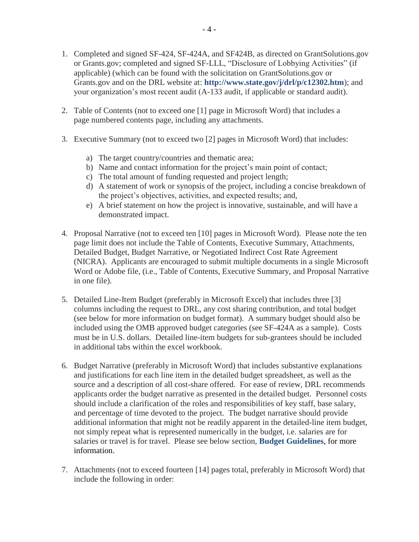- 1. Completed and signed SF-424, SF-424A, and SF424B, as directed on GrantSolutions.gov or Grants.gov; completed and signed SF-LLL, "Disclosure of Lobbying Activities" (if applicable) (which can be found with the solicitation on GrantSolutions.gov or Grants.gov and on the DRL website at: **<http://www.state.gov/j/drl/p/c12302.htm>**); and your organization's most recent audit (A-133 audit, if applicable or standard audit).
- 2. Table of Contents (not to exceed one [1] page in Microsoft Word) that includes a page numbered contents page, including any attachments.
- 3. Executive Summary (not to exceed two [2] pages in Microsoft Word) that includes:
	- a) The target country/countries and thematic area;
	- b) Name and contact information for the project's main point of contact;
	- c) The total amount of funding requested and project length;
	- d) A statement of work or synopsis of the project, including a concise breakdown of the project's objectives, activities, and expected results; and,
	- e) A brief statement on how the project is innovative, sustainable, and will have a demonstrated impact.
- 4. Proposal Narrative (not to exceed ten [10] pages in Microsoft Word). Please note the ten page limit does not include the Table of Contents, Executive Summary, Attachments, Detailed Budget, Budget Narrative, or Negotiated Indirect Cost Rate Agreement (NICRA). Applicants are encouraged to submit multiple documents in a single Microsoft Word or Adobe file, (i.e., Table of Contents, Executive Summary, and Proposal Narrative in one file).
- 5. Detailed Line-Item Budget (preferably in Microsoft Excel) that includes three [3] columns including the request to DRL, any cost sharing contribution, and total budget (see below for more information on budget format). A summary budget should also be included using the OMB approved budget categories (see SF-424A as a sample). Costs must be in U.S. dollars. Detailed line-item budgets for sub-grantees should be included in additional tabs within the excel workbook.
- 6. Budget Narrative (preferably in Microsoft Word) that includes substantive explanations and justifications for each line item in the detailed budget spreadsheet, as well as the source and a description of all cost-share offered. For ease of review, DRL recommends applicants order the budget narrative as presented in the detailed budget. Personnel costs should include a clarification of the roles and responsibilities of key staff, base salary, and percentage of time devoted to the project. The budget narrative should provide additional information that might not be readily apparent in the detailed-line item budget, not simply repeat what is represented numerically in the budget, i.e. salaries are for salaries or travel is for travel. Please see below section, **[Budget Guidelines](#page-16-0)**, for more information.
- 7. Attachments (not to exceed fourteen [14] pages total, preferably in Microsoft Word) that include the following in order: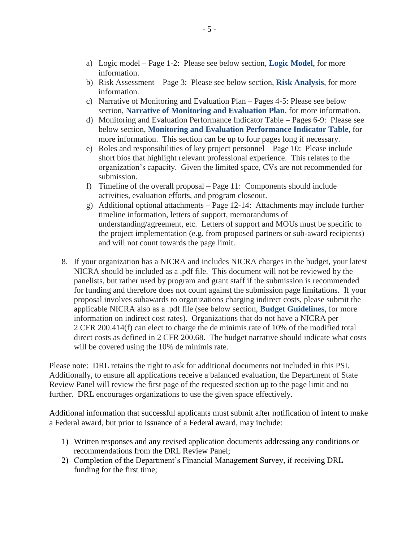- a) Logic model Page 1-2: Please see below section, **[Logic Model](#page-10-0)**, for more information.
- b) Risk Assessment Page 3: Please see below section, **[Risk Analysis](#page-13-0)**, for more information.
- c) Narrative of Monitoring and Evaluation Plan Pages 4-5: Please see below section, **[Narrative of Monitoring and Evaluation Plan](#page-14-0)**, for more information.
- d) Monitoring and Evaluation Performance Indicator Table Pages 6-9: Please see below section, **[Monitoring and Evaluation Performance Indicator Table](#page-15-0)**, for more information. This section can be up to four pages long if necessary.
- e) Roles and responsibilities of key project personnel Page 10: Please include short bios that highlight relevant professional experience. This relates to the organization's capacity. Given the limited space, CVs are not recommended for submission.
- f) Timeline of the overall proposal Page 11: Components should include activities, evaluation efforts, and program closeout.
- g) Additional optional attachments Page 12-14: Attachments may include further timeline information, letters of support, memorandums of understanding/agreement, etc. Letters of support and MOUs must be specific to the project implementation (e.g. from proposed partners or sub-award recipients) and will not count towards the page limit.
- 8. If your organization has a NICRA and includes NICRA charges in the budget, your latest NICRA should be included as a .pdf file. This document will not be reviewed by the panelists, but rather used by program and grant staff if the submission is recommended for funding and therefore does not count against the submission page limitations. If your proposal involves subawards to organizations charging indirect costs, please submit the applicable NICRA also as a .pdf file (see below section, **[Budget Guidelines](#page-16-0)**, for more information on indirect cost rates). Organizations that do not have a NICRA per 2 CFR 200.414(f) can elect to charge the de minimis rate of 10% of the modified total direct costs as defined in 2 CFR 200.68. The budget narrative should indicate what costs will be covered using the 10% de minimis rate.

Please note: DRL retains the right to ask for additional documents not included in this PSI. Additionally, to ensure all applications receive a balanced evaluation, the Department of State Review Panel will review the first page of the requested section up to the page limit and no further. DRL encourages organizations to use the given space effectively.

Additional information that successful applicants must submit after notification of intent to make a Federal award, but prior to issuance of a Federal award, may include:

- 1) Written responses and any revised application documents addressing any conditions or recommendations from the DRL Review Panel;
- 2) Completion of the Department's Financial Management Survey, if receiving DRL funding for the first time;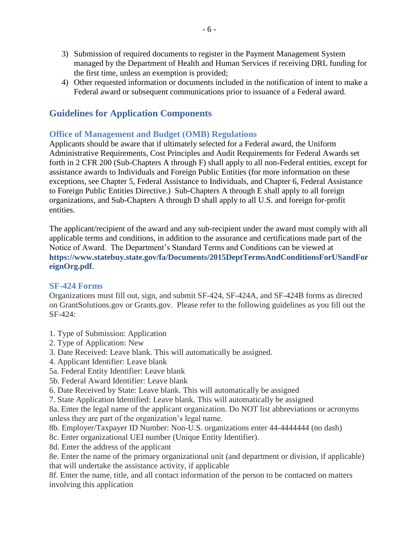- 3) Submission of required documents to register in the Payment Management System managed by the Department of Health and Human Services if receiving DRL funding for the first time, unless an exemption is provided;
- 4) Other requested information or documents included in the notification of intent to make a Federal award or subsequent communications prior to issuance of a Federal award.

# <span id="page-8-0"></span>**Guidelines for Application Components**

## <span id="page-8-1"></span>**Office of Management and Budget (OMB) Regulations**

Applicants should be aware that if ultimately selected for a Federal award, the Uniform Administrative Requirements, Cost Principles and Audit Requirements for Federal Awards set forth in 2 CFR 200 (Sub-Chapters A through F) shall apply to all non-Federal entities, except for assistance awards to Individuals and Foreign Public Entities (for more information on these exceptions, see Chapter 5, Federal Assistance to Individuals, and Chapter 6, Federal Assistance to Foreign Public Entities Directive.) Sub-Chapters A through E shall apply to all foreign organizations, and Sub-Chapters A through D shall apply to all U.S. and foreign for-profit entities.

The applicant/recipient of the award and any sub-recipient under the award must comply with all applicable terms and conditions, in addition to the assurance and certifications made part of the Notice of Award. The Department's Standard Terms and Conditions can be viewed at **[https://www.statebuy.state.gov/fa/Documents/2015DeptTermsAndConditionsForUSandFor](https://www.statebuy.state.gov/fa/Documents/2015DeptTermsAndConditionsForUSandForeignOrg.pdf) [eignOrg.pdf](https://www.statebuy.state.gov/fa/Documents/2015DeptTermsAndConditionsForUSandForeignOrg.pdf)**.

## <span id="page-8-2"></span>**SF-424 Forms**

Organizations must fill out, sign, and submit SF-424, SF-424A, and SF-424B forms as directed on GrantSolutions.gov or Grants.gov. Please refer to the following guidelines as you fill out the SF-424:

1. Type of Submission: Application

- 2. Type of Application: New
- 3. Date Received: Leave blank. This will automatically be assigned.
- 4. Applicant Identifier: Leave blank
- 5a. Federal Entity Identifier: Leave blank
- 5b. Federal Award Identifier: Leave blank
- 6. Date Received by State: Leave blank. This will automatically be assigned

7. State Application Identified: Leave blank. This will automatically be assigned

8a. Enter the legal name of the applicant organization. Do NOT list abbreviations or acronyms unless they are part of the organization's legal name.

8b. Employer/Taxpayer ID Number: Non-U.S. organizations enter 44-4444444 (no dash)

8c. Enter organizational UEI number (Unique Entity Identifier).

8d. Enter the address of the applicant

8e. Enter the name of the primary organizational unit (and department or division, if applicable) that will undertake the assistance activity, if applicable

8f. Enter the name, title, and all contact information of the person to be contacted on matters involving this application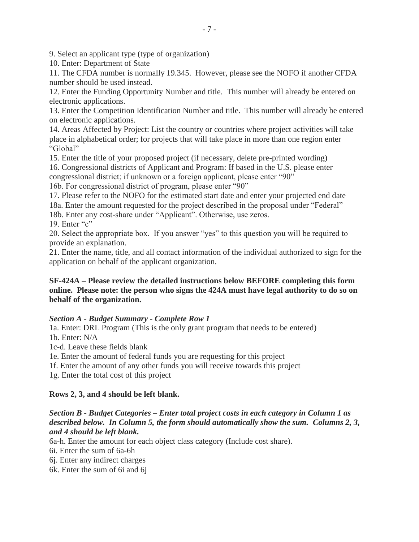9. Select an applicant type (type of organization)

10. Enter: Department of State

11. The CFDA number is normally 19.345. However, please see the NOFO if another CFDA number should be used instead.

12. Enter the Funding Opportunity Number and title. This number will already be entered on electronic applications.

13. Enter the Competition Identification Number and title. This number will already be entered on electronic applications.

14. Areas Affected by Project: List the country or countries where project activities will take place in alphabetical order; for projects that will take place in more than one region enter "Global"

15. Enter the title of your proposed project (if necessary, delete pre-printed wording)

16. Congressional districts of Applicant and Program: If based in the U.S. please enter

congressional district; if unknown or a foreign applicant, please enter "90"

16b. For congressional district of program, please enter "90"

17. Please refer to the NOFO for the estimated start date and enter your projected end date 18a. Enter the amount requested for the project described in the proposal under "Federal"

18b. Enter any cost-share under "Applicant". Otherwise, use zeros.

19. Enter "c"

20. Select the appropriate box. If you answer "yes" to this question you will be required to provide an explanation.

21. Enter the name, title, and all contact information of the individual authorized to sign for the application on behalf of the applicant organization.

## **SF-424A – Please review the detailed instructions below BEFORE completing this form online. Please note: the person who signs the 424A must have legal authority to do so on behalf of the organization.**

## *Section A - Budget Summary - Complete Row 1*

1a. Enter: DRL Program (This is the only grant program that needs to be entered) 1b. Enter: N/A

1c-d. Leave these fields blank

1e. Enter the amount of federal funds you are requesting for this project

1f. Enter the amount of any other funds you will receive towards this project

1g. Enter the total cost of this project

## **Rows 2, 3, and 4 should be left blank.**

## *Section B - Budget Categories – Enter total project costs in each category in Column 1 as described below. In Column 5, the form should automatically show the sum. Columns 2, 3, and 4 should be left blank.*

6a-h. Enter the amount for each object class category (Include cost share).

6i. Enter the sum of 6a-6h

6j. Enter any indirect charges

6k. Enter the sum of 6i and 6j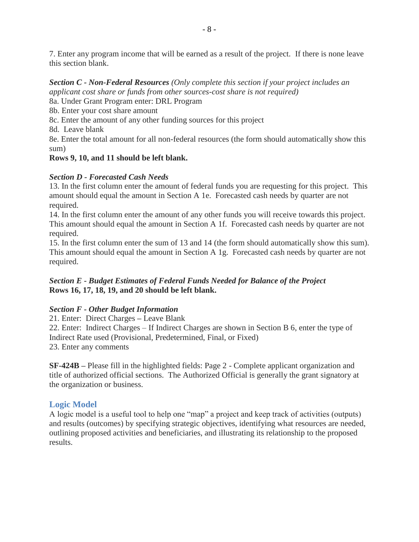7. Enter any program income that will be earned as a result of the project. If there is none leave this section blank.

*Section C - Non-Federal Resources (Only complete this section if your project includes an applicant cost share or funds from other sources-cost share is not required)*

8a. Under Grant Program enter: DRL Program

8b. Enter your cost share amount

8c. Enter the amount of any other funding sources for this project

8d. Leave blank

8e. Enter the total amount for all non-federal resources (the form should automatically show this sum)

# **Rows 9, 10, and 11 should be left blank.**

# *Section D - Forecasted Cash Needs*

13. In the first column enter the amount of federal funds you are requesting for this project. This amount should equal the amount in Section A 1e. Forecasted cash needs by quarter are not required.

14. In the first column enter the amount of any other funds you will receive towards this project. This amount should equal the amount in Section A 1f. Forecasted cash needs by quarter are not required.

15. In the first column enter the sum of 13 and 14 (the form should automatically show this sum). This amount should equal the amount in Section A 1g. Forecasted cash needs by quarter are not required.

# *Section E - Budget Estimates of Federal Funds Needed for Balance of the Project* **Rows 16, 17, 18, 19, and 20 should be left blank.**

# *Section F - Other Budget Information*

21. Enter: Direct Charges **–** Leave Blank

22. Enter: Indirect Charges – If Indirect Charges are shown in Section B 6, enter the type of Indirect Rate used (Provisional, Predetermined, Final, or Fixed)

23. Enter any comments

**SF-424B –** Please fill in the highlighted fields: Page 2 - Complete applicant organization and title of authorized official sections. The Authorized Official is generally the grant signatory at the organization or business.

# <span id="page-10-0"></span>**Logic Model**

A logic model is a useful tool to help one "map" a project and keep track of activities (outputs) and results (outcomes) by specifying strategic objectives, identifying what resources are needed, outlining proposed activities and beneficiaries, and illustrating its relationship to the proposed results.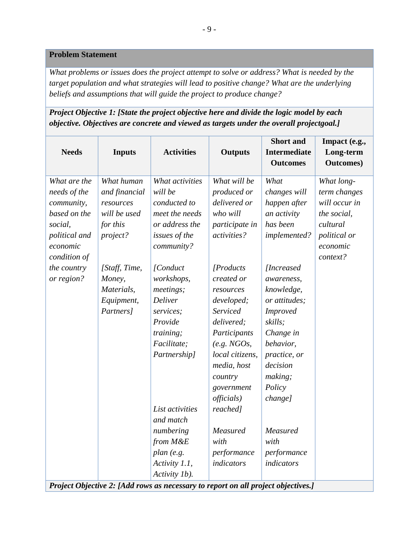#### **Problem Statement**

*What problems or issues does the project attempt to solve or address? What is needed by the target population and what strategies will lead to positive change? What are the underlying beliefs and assumptions that will guide the project to produce change?*

# *Project Objective 1: [State the project objective here and divide the logic model by each objective. Objectives are concrete and viewed as targets under the overall projectgoal.]*

| <b>Needs</b>                                                                                                                                    | <b>Inputs</b>                                                                                                                                        | <b>Activities</b>                                                                                                                                                                                                                                                                                                                            | <b>Outputs</b>                                                                                                                                                                                                                                                                                                                                 | <b>Short</b> and<br><b>Intermediate</b><br><b>Outcomes</b>                                                                                                                                                                                                                                                              | Impact (e.g.,<br>Long-term<br><b>Outcomes</b> )                                                                |
|-------------------------------------------------------------------------------------------------------------------------------------------------|------------------------------------------------------------------------------------------------------------------------------------------------------|----------------------------------------------------------------------------------------------------------------------------------------------------------------------------------------------------------------------------------------------------------------------------------------------------------------------------------------------|------------------------------------------------------------------------------------------------------------------------------------------------------------------------------------------------------------------------------------------------------------------------------------------------------------------------------------------------|-------------------------------------------------------------------------------------------------------------------------------------------------------------------------------------------------------------------------------------------------------------------------------------------------------------------------|----------------------------------------------------------------------------------------------------------------|
| What are the<br>needs of the<br>community,<br>based on the<br>social,<br>political and<br>economic<br>condition of<br>the country<br>or region? | What human<br>and financial<br>resources<br>will be used<br>for this<br>project?<br>[Staff, Time,<br>Money,<br>Materials,<br>Equipment,<br>Partners] | What activities<br>will be<br>conducted to<br>meet the needs<br>or address the<br>issues of the<br>community?<br>[Conduct<br>workshops,<br>meetings;<br>Deliver<br>services;<br>Provide<br>training;<br>Facilitate;<br>Partnership]<br>List activities<br>and match<br>numbering<br>from M&E<br>plan (e.g.<br>Activity 1.1,<br>Activity 1b). | What will be<br>produced or<br>delivered or<br>who will<br>participate in<br>activities?<br>[Products]<br>created or<br>resources<br>developed;<br>Serviced<br>delivered;<br>Participants<br>(e.g. NGOs,<br>local citizens,<br>media, host<br>country<br>government<br>officials)<br>reached]<br>Measured<br>with<br>performance<br>indicators | What<br>changes will<br>happen after<br>an activity<br>has been<br>implemented?<br><i>[Increased]</i><br>awareness,<br>knowledge,<br>or attitudes;<br><b>Improved</b><br>skills;<br>Change in<br>behavior,<br>practice, or<br>decision<br>making;<br>Policy<br>change]<br>Measured<br>with<br>performance<br>indicators | What long-<br>term changes<br>will occur in<br>the social,<br>cultural<br>political or<br>economic<br>context? |
|                                                                                                                                                 |                                                                                                                                                      | Project Objective 2: [Add rows as necessary to report on all project objectives.]                                                                                                                                                                                                                                                            |                                                                                                                                                                                                                                                                                                                                                |                                                                                                                                                                                                                                                                                                                         |                                                                                                                |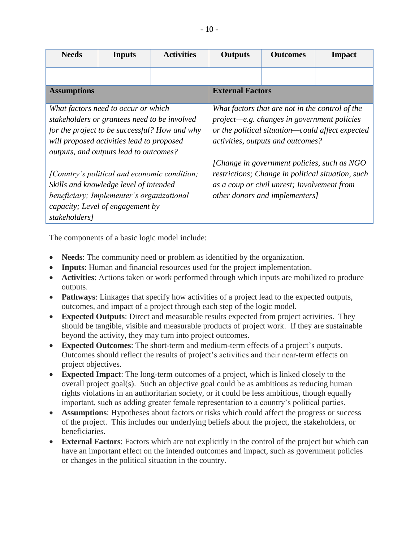| <b>Needs</b>       | <b>Inputs</b>                                                                                                                                                                                                               | <b>Activities</b> | <b>Outputs</b>                                                                                                                                                                            | <b>Outcomes</b>                                                                                                              | Impact                                            |  |  |
|--------------------|-----------------------------------------------------------------------------------------------------------------------------------------------------------------------------------------------------------------------------|-------------------|-------------------------------------------------------------------------------------------------------------------------------------------------------------------------------------------|------------------------------------------------------------------------------------------------------------------------------|---------------------------------------------------|--|--|
|                    |                                                                                                                                                                                                                             |                   |                                                                                                                                                                                           |                                                                                                                              |                                                   |  |  |
| <b>Assumptions</b> |                                                                                                                                                                                                                             |                   | <b>External Factors</b>                                                                                                                                                                   |                                                                                                                              |                                                   |  |  |
|                    | What factors need to occur or which<br>stakeholders or grantees need to be involved<br>for the project to be successful? How and why<br>will proposed activities lead to proposed<br>outputs, and outputs lead to outcomes? |                   | What factors that are not in the control of the<br>$project—e.g. changes in government policies$<br>or the political situation-could affect expected<br>activities, outputs and outcomes? |                                                                                                                              |                                                   |  |  |
| stakeholders]      | [Country's political and economic condition;<br>Skills and knowledge level of intended<br>beneficiary; Implementer's organizational<br>capacity; Level of engagement by                                                     |                   |                                                                                                                                                                                           | [Change in government policies, such as NGO<br>as a coup or civil unrest; Involvement from<br>other donors and implementers] | restrictions; Change in political situation, such |  |  |

The components of a basic logic model include:

- **Needs**: The community need or problem as identified by the organization.
- **Inputs**: Human and financial resources used for the project implementation.
- **Activities**: Actions taken or work performed through which inputs are mobilized to produce outputs.
- **Pathways**: Linkages that specify how activities of a project lead to the expected outputs, outcomes, and impact of a project through each step of the logic model.
- **Expected Outputs**: Direct and measurable results expected from project activities. They should be tangible, visible and measurable products of project work. If they are sustainable beyond the activity, they may turn into project outcomes.
- **Expected Outcomes**: The short-term and medium-term effects of a project's outputs. Outcomes should reflect the results of project's activities and their near-term effects on project objectives.
- **Expected Impact**: The long-term outcomes of a project, which is linked closely to the overall project goal(s). Such an objective goal could be as ambitious as reducing human rights violations in an authoritarian society, or it could be less ambitious, though equally important, such as adding greater female representation to a country's political parties.
- **Assumptions**: Hypotheses about factors or risks which could affect the progress or success of the project. This includes our underlying beliefs about the project, the stakeholders, or beneficiaries.
- **External Factors**: Factors which are not explicitly in the control of the project but which can have an important effect on the intended outcomes and impact, such as government policies or changes in the political situation in the country.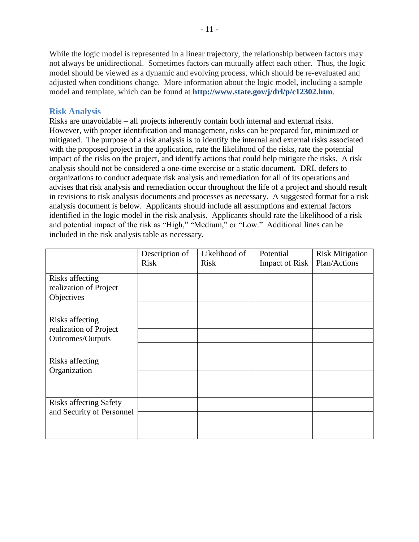While the logic model is represented in a linear trajectory, the relationship between factors may not always be unidirectional. Sometimes factors can mutually affect each other. Thus, the logic model should be viewed as a dynamic and evolving process, which should be re-evaluated and adjusted when conditions change. More information about the logic model, including a sample model and template, which can be found at **<http://www.state.gov/j/drl/p/c12302.htm>**.

#### <span id="page-13-0"></span>**Risk Analysis**

Risks are unavoidable – all projects inherently contain both internal and external risks. However, with proper identification and management, risks can be prepared for, minimized or mitigated. The purpose of a risk analysis is to identify the internal and external risks associated with the proposed project in the application, rate the likelihood of the risks, rate the potential impact of the risks on the project, and identify actions that could help mitigate the risks. A risk analysis should not be considered a one-time exercise or a static document. DRL defers to organizations to conduct adequate risk analysis and remediation for all of its operations and advises that risk analysis and remediation occur throughout the life of a project and should result in revisions to risk analysis documents and processes as necessary. A suggested format for a risk analysis document is below. Applicants should include all assumptions and external factors identified in the logic model in the risk analysis. Applicants should rate the likelihood of a risk and potential impact of the risk as "High," "Medium," or "Low." Additional lines can be included in the risk analysis table as necessary.

|                                                         | Description of<br>Risk | Likelihood of<br>Risk | Potential<br><b>Impact of Risk</b> | <b>Risk Mitigation</b><br>Plan/Actions |
|---------------------------------------------------------|------------------------|-----------------------|------------------------------------|----------------------------------------|
| Risks affecting<br>realization of Project<br>Objectives |                        |                       |                                    |                                        |
|                                                         |                        |                       |                                    |                                        |
| Risks affecting<br>realization of Project               |                        |                       |                                    |                                        |
| Outcomes/Outputs                                        |                        |                       |                                    |                                        |
|                                                         |                        |                       |                                    |                                        |
| Risks affecting<br>Organization                         |                        |                       |                                    |                                        |
|                                                         |                        |                       |                                    |                                        |
|                                                         |                        |                       |                                    |                                        |
| <b>Risks affecting Safety</b>                           |                        |                       |                                    |                                        |
| and Security of Personnel                               |                        |                       |                                    |                                        |
|                                                         |                        |                       |                                    |                                        |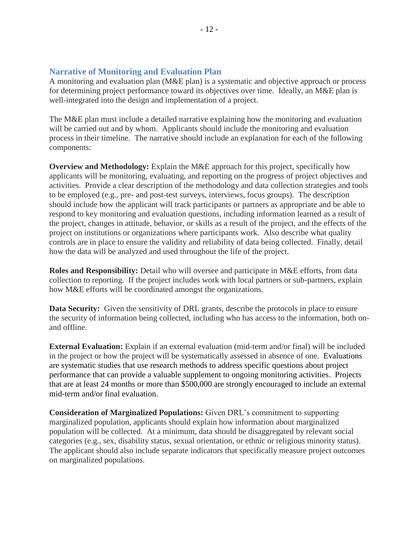#### <span id="page-14-0"></span>**Narrative of Monitoring and Evaluation Plan**

A monitoring and evaluation plan (M&E plan) is a systematic and objective approach or process for determining project performance toward its objectives over time. Ideally, an M&E plan is well-integrated into the design and implementation of a project.

The M&E plan must include a detailed narrative explaining how the monitoring and evaluation will be carried out and by whom. Applicants should include the monitoring and evaluation process in their timeline. The narrative should include an explanation for each of the following components:

**Overview and Methodology:** Explain the M&E approach for this project, specifically how applicants will be monitoring, evaluating, and reporting on the progress of project objectives and activities. Provide a clear description of the methodology and data collection strategies and tools to be employed (e.g., pre- and post-test surveys, interviews, focus groups). The description should include how the applicant will track participants or partners as appropriate and be able to respond to key monitoring and evaluation questions, including information learned as a result of the project, changes in attitude, behavior, or skills as a result of the project, and the effects of the project on institutions or organizations where participants work. Also describe what quality controls are in place to ensure the validity and reliability of data being collected. Finally, detail how the data will be analyzed and used throughout the life of the project.

**Roles and Responsibility:** Detail who will oversee and participate in M&E efforts, from data collection to reporting. If the project includes work with local partners or sub-partners, explain how M&E efforts will be coordinated amongst the organizations.

**Data Security:** Given the sensitivity of DRL grants, describe the protocols in place to ensure the security of information being collected, including who has access to the information, both onand offline.

**External Evaluation:** Explain if an external evaluation (mid-term and/or final) will be included in the project or how the project will be systematically assessed in absence of one. Evaluations are systematic studies that use research methods to address specific questions about project performance that can provide a valuable supplement to ongoing monitoring activities. Projects that are at least 24 months or more than \$500,000 are strongly encouraged to include an external mid-term and/or final evaluation.

**Consideration of Marginalized Populations:** Given DRL's commitment to supporting marginalized population, applicants should explain how information about marginalized population will be collected. At a minimum, data should be disaggregated by relevant social categories (e.g., sex, disability status, sexual orientation, or ethnic or religious minority status). The applicant should also include separate indicators that specifically measure project outcomes on marginalized populations.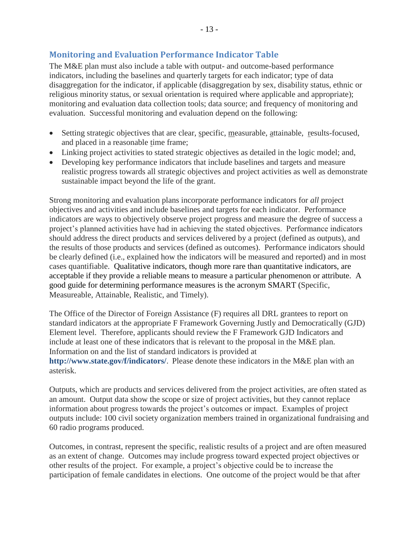# <span id="page-15-0"></span>**Monitoring and Evaluation Performance Indicator Table**

The M&E plan must also include a table with output- and outcome-based performance indicators, including the baselines and quarterly targets for each indicator; type of data disaggregation for the indicator, if applicable (disaggregation by sex, disability status, ethnic or religious minority status, or sexual orientation is required where applicable and appropriate); monitoring and evaluation data collection tools; data source; and frequency of monitoring and evaluation. Successful monitoring and evaluation depend on the following:

- Setting strategic objectives that are clear, specific, measurable, attainable, results-focused, and placed in a reasonable time frame;
- Linking project activities to stated strategic objectives as detailed in the logic model; and,
- Developing key performance indicators that include baselines and targets and measure realistic progress towards all strategic objectives and project activities as well as demonstrate sustainable impact beyond the life of the grant.

Strong monitoring and evaluation plans incorporate performance indicators for *all* project objectives and activities and include baselines and targets for each indicator. Performance indicators are ways to objectively observe project progress and measure the degree of success a project's planned activities have had in achieving the stated objectives. Performance indicators should address the direct products and services delivered by a project (defined as outputs), and the results of those products and services (defined as outcomes). Performance indicators should be clearly defined (i.e., explained how the indicators will be measured and reported) and in most cases quantifiable. Qualitative indicators, though more rare than quantitative indicators, are acceptable if they provide a reliable means to measure a particular phenomenon or attribute. A good guide for determining performance measures is the acronym SMART (Specific, Measureable, Attainable, Realistic, and Timely).

The Office of the Director of Foreign Assistance (F) requires all DRL grantees to report on standard indicators at the appropriate F Framework Governing Justly and Democratically (GJD) Element level. Therefore, applicants should review the F Framework GJD Indicators and include at least one of these indicators that is relevant to the proposal in the M&E plan. Information on and the list of standard indicators is provided at **<http://www.state.gov/f/indicators/>**. Please denote these indicators in the M&E plan with an asterisk.

Outputs, which are products and services delivered from the project activities, are often stated as an amount. Output data show the scope or size of project activities, but they cannot replace information about progress towards the project's outcomes or impact. Examples of project outputs include: 100 civil society organization members trained in organizational fundraising and 60 radio programs produced.

Outcomes, in contrast, represent the specific, realistic results of a project and are often measured as an extent of change. Outcomes may include progress toward expected project objectives or other results of the project. For example, a project's objective could be to increase the participation of female candidates in elections. One outcome of the project would be that after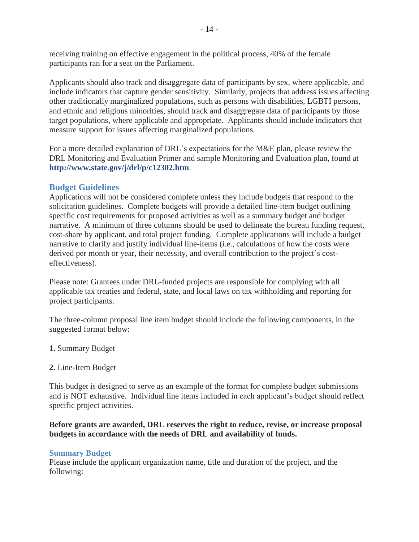receiving training on effective engagement in the political process, 40% of the female participants ran for a seat on the Parliament.

Applicants should also track and disaggregate data of participants by sex, where applicable, and include indicators that capture gender sensitivity. Similarly, projects that address issues affecting other traditionally marginalized populations, such as persons with disabilities, LGBTI persons, and ethnic and religious minorities, should track and disaggregate data of participants by those target populations, where applicable and appropriate. Applicants should include indicators that measure support for issues affecting marginalized populations.

For a more detailed explanation of DRL's expectations for the M&E plan, please review the DRL Monitoring and Evaluation Primer and sample Monitoring and Evaluation plan, found at **<http://www.state.gov/j/drl/p/c12302.htm>**.

## <span id="page-16-0"></span>**Budget Guidelines**

Applications will not be considered complete unless they include budgets that respond to the solicitation guidelines. Complete budgets will provide a detailed line-item budget outlining specific cost requirements for proposed activities as well as a summary budget and budget narrative. A minimum of three columns should be used to delineate the bureau funding request, cost-share by applicant, and total project funding. Complete applications will include a budget narrative to clarify and justify individual line-items (i.e., calculations of how the costs were derived per month or year, their necessity, and overall contribution to the project's costeffectiveness).

Please note: Grantees under DRL-funded projects are responsible for complying with all applicable tax treaties and federal, state, and local laws on tax withholding and reporting for project participants.

The three-column proposal line item budget should include the following components, in the suggested format below:

- **1.** Summary Budget
- **2.** Line-Item Budget

This budget is designed to serve as an example of the format for complete budget submissions and is NOT exhaustive. Individual line items included in each applicant's budget should reflect specific project activities.

#### **Before grants are awarded, DRL reserves the right to reduce, revise, or increase proposal budgets in accordance with the needs of DRL and availability of funds.**

#### <span id="page-16-1"></span>**Summary Budget**

Please include the applicant organization name, title and duration of the project, and the following: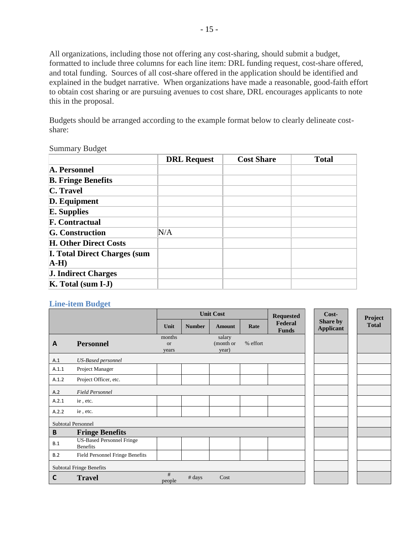All organizations, including those not offering any cost-sharing, should submit a budget, formatted to include three columns for each line item: DRL funding request, cost-share offered, and total funding. Sources of all cost-share offered in the application should be identified and explained in the budget narrative. When organizations have made a reasonable, good-faith effort to obtain cost sharing or are pursuing avenues to cost share, DRL encourages applicants to note this in the proposal.

Budgets should be arranged according to the example format below to clearly delineate costshare:

#### Summary Budget

|                                     | <b>DRL Request</b> | <b>Cost Share</b> | <b>Total</b> |
|-------------------------------------|--------------------|-------------------|--------------|
| A. Personnel                        |                    |                   |              |
| <b>B. Fringe Benefits</b>           |                    |                   |              |
| C. Travel                           |                    |                   |              |
| D. Equipment                        |                    |                   |              |
| <b>E.</b> Supplies                  |                    |                   |              |
| <b>F. Contractual</b>               |                    |                   |              |
| <b>G.</b> Construction              | N/A                |                   |              |
| <b>H. Other Direct Costs</b>        |                    |                   |              |
| <b>I. Total Direct Charges (sum</b> |                    |                   |              |
| $A-H$                               |                    |                   |              |
| <b>J. Indirect Charges</b>          |                    |                   |              |
| $K. Total (sum I-J)$                |                    |                   |              |

#### <span id="page-17-0"></span>**Line-item Budget**

|                          |                                                     |                              | <b>Unit Cost</b> |                              |          | <b>Requested</b>        | $Cost-$                      |  | Project      |
|--------------------------|-----------------------------------------------------|------------------------------|------------------|------------------------------|----------|-------------------------|------------------------------|--|--------------|
|                          |                                                     | Unit                         | <b>Number</b>    | <b>Amount</b>                | Rate     | Federal<br><b>Funds</b> | Share by<br><b>Applicant</b> |  | <b>Total</b> |
| $\mathbf{A}$             | <b>Personnel</b>                                    | months<br><b>or</b><br>years |                  | salary<br>(month or<br>year) | % effort |                         |                              |  |              |
| A.1                      | <b>US-Based personnel</b>                           |                              |                  |                              |          |                         |                              |  |              |
| A.1.1                    | Project Manager                                     |                              |                  |                              |          |                         |                              |  |              |
| A.1.2                    | Project Officer, etc.                               |                              |                  |                              |          |                         |                              |  |              |
| A.2                      | <b>Field Personnel</b>                              |                              |                  |                              |          |                         |                              |  |              |
| A.2.1                    | ie, etc.                                            |                              |                  |                              |          |                         |                              |  |              |
| A.2.2                    | ie, etc.                                            |                              |                  |                              |          |                         |                              |  |              |
|                          | <b>Subtotal Personnel</b>                           |                              |                  |                              |          |                         |                              |  |              |
| B                        | <b>Fringe Benefits</b>                              |                              |                  |                              |          |                         |                              |  |              |
| B.1                      | <b>US-Based Personnel Fringe</b><br><b>Benefits</b> |                              |                  |                              |          |                         |                              |  |              |
| B.2                      | Field Personnel Fringe Benefits                     |                              |                  |                              |          |                         |                              |  |              |
| Subtotal Fringe Benefits |                                                     |                              |                  |                              |          |                         |                              |  |              |
| C                        | <b>Travel</b>                                       | #<br>people                  | # days           | Cost                         |          |                         |                              |  |              |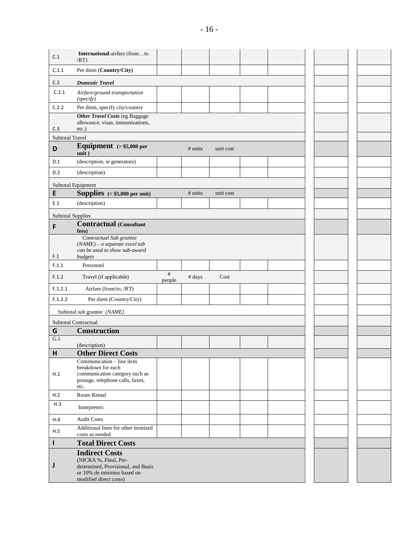| C.1                      | International airfare (fromto<br>/RT                                                                                                         |             |           |           |  |  |  |
|--------------------------|----------------------------------------------------------------------------------------------------------------------------------------------|-------------|-----------|-----------|--|--|--|
| C.1.1                    | Per diem (Country/City)                                                                                                                      |             |           |           |  |  |  |
| C.2                      | <b>Domestic Travel</b>                                                                                                                       |             |           |           |  |  |  |
| C.2.1                    | Airfare/ground transportation<br>(specify)                                                                                                   |             |           |           |  |  |  |
| C.2.2                    | Per diem, specify city/country                                                                                                               |             |           |           |  |  |  |
|                          | <b>Other Travel Costs (eg Baggage)</b><br>allowance, visas, immunizations,                                                                   |             |           |           |  |  |  |
| C.3                      | etc.)                                                                                                                                        |             |           |           |  |  |  |
| <b>Subtotal Travel</b>   |                                                                                                                                              |             |           |           |  |  |  |
| D                        | Equipment $(> $5,000$ per<br>unit)                                                                                                           |             | $#$ units | unit cost |  |  |  |
| D.1                      | (description, ie generators)                                                                                                                 |             |           |           |  |  |  |
| D.2                      | (description)                                                                                                                                |             |           |           |  |  |  |
|                          | Subtotal Equipment                                                                                                                           |             |           |           |  |  |  |
| E                        | <b>Supplies</b> $($5,000 per unit)$                                                                                                          |             | # units   | unit cost |  |  |  |
| E.1                      | (description)                                                                                                                                |             |           |           |  |  |  |
| <b>Subtotal Supplies</b> |                                                                                                                                              |             |           |           |  |  |  |
| F                        | <b>Contractual (Consultant</b>                                                                                                               |             |           |           |  |  |  |
| F.1                      | fees)<br>Contractual Sub grantee<br>$(NAME) - a separate excel tab$<br>can be used to show sub-award<br>budgets                              |             |           |           |  |  |  |
| F.1.1                    | Personnel                                                                                                                                    |             |           |           |  |  |  |
| F.1.2                    | Travel (if applicable)                                                                                                                       | #<br>people | # days    | Cost      |  |  |  |
| F.1.2.1                  | Airfare (from/to, /RT)                                                                                                                       |             |           |           |  |  |  |
| F.1.2.2                  | Per diem (Country/City)                                                                                                                      |             |           |           |  |  |  |
|                          | Subtotal sub grantee (NAME)                                                                                                                  |             |           |           |  |  |  |
|                          | <b>Subtotal Contractual</b>                                                                                                                  |             |           |           |  |  |  |
| G                        | Construction                                                                                                                                 |             |           |           |  |  |  |
| G.1                      | (description)                                                                                                                                |             |           |           |  |  |  |
| Н                        | <b>Other Direct Costs</b>                                                                                                                    |             |           |           |  |  |  |
| H.1                      | Communication - line item<br>breakdown for each<br>communication category such as<br>postage, telephone calls, faxes,<br>etc.                |             |           |           |  |  |  |
| H.2                      | Room Rental                                                                                                                                  |             |           |           |  |  |  |
| H.3                      | Interpreters                                                                                                                                 |             |           |           |  |  |  |
| H.4                      | <b>Audit Costs</b>                                                                                                                           |             |           |           |  |  |  |
| H.5                      | Additional lines for other itemized<br>costs as needed                                                                                       |             |           |           |  |  |  |
| I                        | <b>Total Direct Costs</b>                                                                                                                    |             |           |           |  |  |  |
| J                        | <b>Indirect Costs</b><br>(NICRA %, Final, Pre-<br>determined, Provisional, and Basis<br>or 10% de minimus based on<br>modified direct costs) |             |           |           |  |  |  |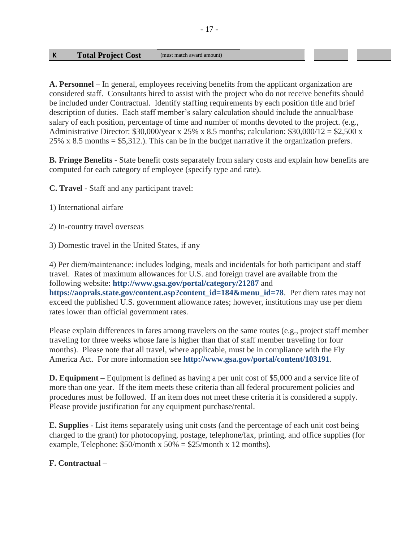#### **K Total Project Cost** (must match award amount)

**A. Personnel** – In general, employees receiving benefits from the applicant organization are considered staff. Consultants hired to assist with the project who do not receive benefits should be included under Contractual. Identify staffing requirements by each position title and brief description of duties. Each staff member's salary calculation should include the annual/base salary of each position, percentage of time and number of months devoted to the project. (e.g., Administrative Director:  $$30,000/\text{year} \times 25\% \times 8.5 \text{ months}$ ; calculation:  $$30,000/12 = $2,500 \times 10^{-10} \text{ cm}$ 25% x 8.5 months =  $$5,312$ .). This can be in the budget narrative if the organization prefers.

**B. Fringe Benefits** - State benefit costs separately from salary costs and explain how benefits are computed for each category of employee (specify type and rate).

**C. Travel** - Staff and any participant travel:

- 1) International airfare
- 2) In-country travel overseas
- 3) Domestic travel in the United States, if any

4) Per diem/maintenance: includes lodging, meals and incidentals for both participant and staff travel. Rates of maximum allowances for U.S. and foreign travel are available from the following website: **<http://www.gsa.gov/portal/category/21287>** and **[https://aoprals.state.gov/content.asp?content\\_id=184&menu\\_id=78](https://aoprals.state.gov/content.asp?content_id=184&menu_id=78)**. Per diem rates may not exceed the published U.S. government allowance rates; however, institutions may use per diem rates lower than official government rates.

Please explain differences in fares among travelers on the same routes (e.g., project staff member traveling for three weeks whose fare is higher than that of staff member traveling for four months). Please note that all travel, where applicable, must be in compliance with the Fly America Act. For more information see **<http://www.gsa.gov/portal/content/103191>**.

**D. Equipment** – Equipment is defined as having a per unit cost of \$5,000 and a service life of more than one year. If the item meets these criteria than all federal procurement policies and procedures must be followed. If an item does not meet these criteria it is considered a supply. Please provide justification for any equipment purchase/rental.

**E. Supplies** - List items separately using unit costs (and the percentage of each unit cost being charged to the grant) for photocopying, postage, telephone/fax, printing, and office supplies (for example, Telephone:  $$50/month \times 50\% = $25/month \times 12 months$ .

## **F. Contractual** –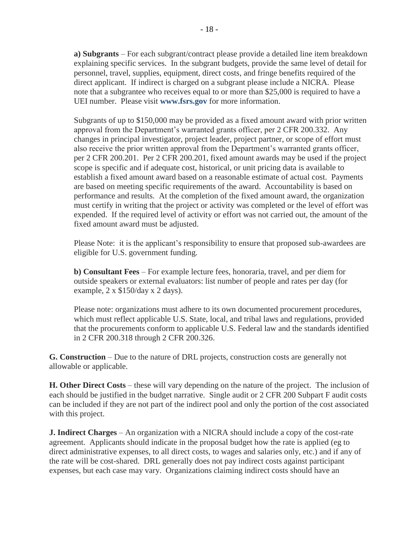**a) Subgrants** – For each subgrant/contract please provide a detailed line item breakdown explaining specific services. In the subgrant budgets, provide the same level of detail for personnel, travel, supplies, equipment, direct costs, and fringe benefits required of the direct applicant. If indirect is charged on a subgrant please include a NICRA. Please note that a subgrantee who receives equal to or more than \$25,000 is required to have a UEI number. Please visit **[www.fsrs.gov](http://www.fsrs.gov/)** for more information.

Subgrants of up to \$150,000 may be provided as a fixed amount award with prior written approval from the Department's warranted grants officer, per 2 CFR 200.332. Any changes in principal investigator, project leader, project partner, or scope of effort must also receive the prior written approval from the Department's warranted grants officer, per 2 CFR 200.201. Per 2 CFR 200.201, fixed amount awards may be used if the project scope is specific and if adequate cost, historical, or unit pricing data is available to establish a fixed amount award based on a reasonable estimate of actual cost. Payments are based on meeting specific requirements of the award. Accountability is based on performance and results. At the completion of the fixed amount award, the organization must certify in writing that the project or activity was completed or the level of effort was expended. If the required level of activity or effort was not carried out, the amount of the fixed amount award must be adjusted.

Please Note: it is the applicant's responsibility to ensure that proposed sub-awardees are eligible for U.S. government funding.

**b) Consultant Fees** – For example lecture fees, honoraria, travel, and per diem for outside speakers or external evaluators: list number of people and rates per day (for example, 2 x \$150/day x 2 days).

Please note: organizations must adhere to its own documented procurement procedures, which must reflect applicable U.S. State, local, and tribal laws and regulations, provided that the procurements conform to applicable U.S. Federal law and the standards identified in 2 CFR 200.318 through 2 CFR 200.326.

**G. Construction** – Due to the nature of DRL projects, construction costs are generally not allowable or applicable.

**H. Other Direct Costs** – these will vary depending on the nature of the project. The inclusion of each should be justified in the budget narrative. Single audit or 2 CFR 200 Subpart F audit costs can be included if they are not part of the indirect pool and only the portion of the cost associated with this project.

**J. Indirect Charges** – An organization with a NICRA should include a copy of the cost-rate agreement. Applicants should indicate in the proposal budget how the rate is applied (eg to direct administrative expenses, to all direct costs, to wages and salaries only, etc.) and if any of the rate will be cost-shared. DRL generally does not pay indirect costs against participant expenses, but each case may vary. Organizations claiming indirect costs should have an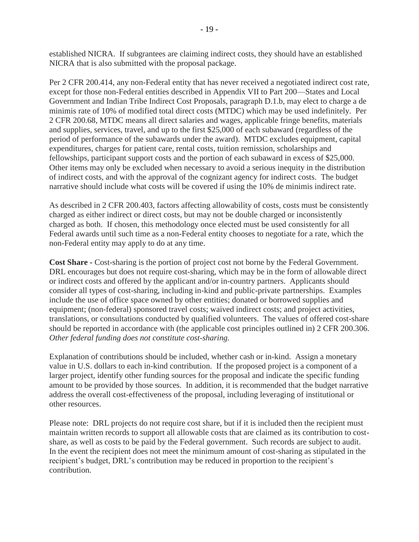established NICRA. If subgrantees are claiming indirect costs, they should have an established NICRA that is also submitted with the proposal package.

Per 2 CFR 200.414, any non-Federal entity that has never received a negotiated indirect cost rate, except for those non-Federal entities described in Appendix VII to Part 200—States and Local Government and Indian Tribe Indirect Cost Proposals, paragraph D.1.b, may elect to charge a de minimis rate of 10% of modified total direct costs (MTDC) which may be used indefinitely. Per 2 CFR 200.68, MTDC means all direct salaries and wages, applicable fringe benefits, materials and supplies, services, travel, and up to the first \$25,000 of each subaward (regardless of the period of performance of the subawards under the award). MTDC excludes equipment, capital expenditures, charges for patient care, rental costs, tuition remission, scholarships and fellowships, participant support costs and the portion of each subaward in excess of \$25,000. Other items may only be excluded when necessary to avoid a serious inequity in the distribution of indirect costs, and with the approval of the cognizant agency for indirect costs. The budget narrative should include what costs will be covered if using the 10% de minimis indirect rate.

As described in 2 CFR 200.403, factors affecting allowability of costs, costs must be consistently charged as either indirect or direct costs, but may not be double charged or inconsistently charged as both. If chosen, this methodology once elected must be used consistently for all Federal awards until such time as a non-Federal entity chooses to negotiate for a rate, which the non-Federal entity may apply to do at any time.

**Cost Share -** Cost-sharing is the portion of project cost not borne by the Federal Government. DRL encourages but does not require cost-sharing, which may be in the form of allowable direct or indirect costs and offered by the applicant and/or in-country partners. Applicants should consider all types of cost-sharing, including in-kind and public-private partnerships. Examples include the use of office space owned by other entities; donated or borrowed supplies and equipment; (non-federal) sponsored travel costs; waived indirect costs; and project activities, translations, or consultations conducted by qualified volunteers. The values of offered cost-share should be reported in accordance with (the applicable cost principles outlined in) 2 CFR 200.306. *Other federal funding does not constitute cost-sharing.*

Explanation of contributions should be included, whether cash or in-kind. Assign a monetary value in U.S. dollars to each in-kind contribution. If the proposed project is a component of a larger project, identify other funding sources for the proposal and indicate the specific funding amount to be provided by those sources. In addition, it is recommended that the budget narrative address the overall cost-effectiveness of the proposal, including leveraging of institutional or other resources.

Please note: DRL projects do not require cost share, but if it is included then the recipient must maintain written records to support all allowable costs that are claimed as its contribution to costshare, as well as costs to be paid by the Federal government. Such records are subject to audit. In the event the recipient does not meet the minimum amount of cost-sharing as stipulated in the recipient's budget, DRL's contribution may be reduced in proportion to the recipient's contribution.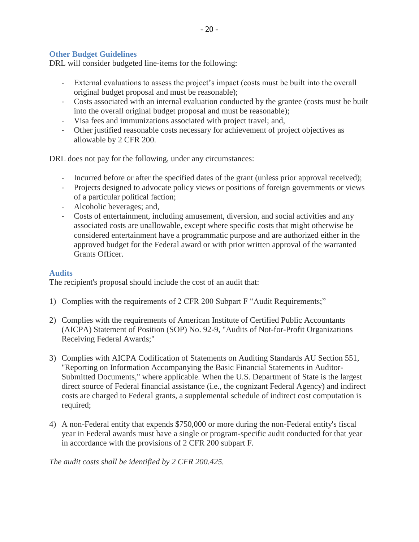#### <span id="page-22-0"></span>**Other Budget Guidelines**

DRL will consider budgeted line-items for the following:

- External evaluations to assess the project's impact (costs must be built into the overall original budget proposal and must be reasonable);

 $-20-$ 

- Costs associated with an internal evaluation conducted by the grantee (costs must be built into the overall original budget proposal and must be reasonable);
- Visa fees and immunizations associated with project travel; and,
- Other justified reasonable costs necessary for achievement of project objectives as allowable by 2 CFR 200.

DRL does not pay for the following, under any circumstances:

- Incurred before or after the specified dates of the grant (unless prior approval received);
- Projects designed to advocate policy views or positions of foreign governments or views of a particular political faction;
- Alcoholic beverages; and,
- Costs of entertainment, including amusement, diversion, and social activities and any associated costs are unallowable, except where specific costs that might otherwise be considered entertainment have a programmatic purpose and are authorized either in the approved budget for the Federal award or with prior written approval of the warranted Grants Officer.

#### <span id="page-22-1"></span>**Audits**

The recipient's proposal should include the cost of an audit that:

- 1) Complies with the requirements of 2 CFR 200 Subpart F "Audit Requirements;"
- 2) Complies with the requirements of American Institute of Certified Public Accountants (AICPA) Statement of Position (SOP) No. 92-9, "Audits of Not-for-Profit Organizations Receiving Federal Awards;"
- 3) Complies with AICPA Codification of Statements on Auditing Standards AU Section 551, "Reporting on Information Accompanying the Basic Financial Statements in Auditor-Submitted Documents," where applicable. When the U.S. Department of State is the largest direct source of Federal financial assistance (i.e., the cognizant Federal Agency) and indirect costs are charged to Federal grants, a supplemental schedule of indirect cost computation is required;
- 4) A non-Federal entity that expends \$750,000 or more during the non-Federal entity's fiscal year in Federal awards must have a single or program-specific audit conducted for that year in accordance with the provisions of 2 CFR 200 subpart F.

*The audit costs shall be identified by 2 CFR 200.425.*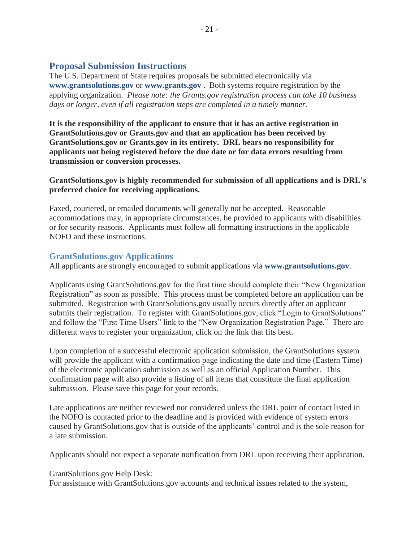## <span id="page-23-0"></span>**Proposal Submission Instructions**

The U.S. Department of State requires proposals be submitted electronically via **[www.grantsolutions.gov](http://www.grantsolutions.gov/)** or **[www.grants.gov](http://www.grants.gov/)** . Both systems require registration by the applying organization. *Please note: the Grants.gov registration process can take 10 business days or longer, even if all registration steps are completed in a timely manner.* 

**It is the responsibility of the applicant to ensure that it has an active registration in GrantSolutions.gov or Grants.gov and that an application has been received by GrantSolutions.gov or Grants.gov in its entirety. DRL bears no responsibility for applicants not being registered before the due date or for data errors resulting from transmission or conversion processes.** 

**GrantSolutions.gov is highly recommended for submission of all applications and is DRL's preferred choice for receiving applications.**

Faxed, couriered, or emailed documents will generally not be accepted. Reasonable accommodations may, in appropriate circumstances, be provided to applicants with disabilities or for security reasons. Applicants must follow all formatting instructions in the applicable NOFO and these instructions.

#### <span id="page-23-1"></span>**GrantSolutions.gov Applications**

All applicants are strongly encouraged to submit applications via **[www.grantsolutions.gov](http://www.grantsolutions.gov/)**.

Applicants using GrantSolutions.gov for the first time should complete their "New Organization Registration" as soon as possible. This process must be completed before an application can be submitted. Registration with GrantSolutions.gov usually occurs directly after an applicant submits their registration. To register with GrantSolutions.gov, click "Login to GrantSolutions" and follow the "First Time Users" link to the "New Organization Registration Page." There are different ways to register your organization, click on the link that fits best.

Upon completion of a successful electronic application submission, the GrantSolutions system will provide the applicant with a confirmation page indicating the date and time (Eastern Time) of the electronic application submission as well as an official Application Number. This confirmation page will also provide a listing of all items that constitute the final application submission. Please save this page for your records.

Late applications are neither reviewed nor considered unless the DRL point of contact listed in the NOFO is contacted prior to the deadline and is provided with evidence of system errors caused by GrantSolutions.gov that is outside of the applicants' control and is the sole reason for a late submission.

Applicants should not expect a separate notification from DRL upon receiving their application.

GrantSolutions.gov Help Desk:

For assistance with GrantSolutions.gov accounts and technical issues related to the system,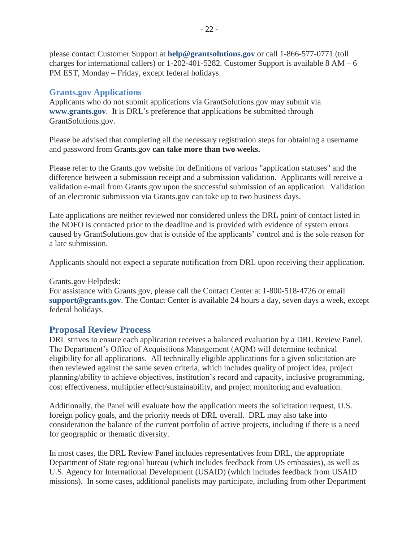please contact Customer Support at **[help@grantsolutions.gov](mailto:help@grantsolutions.gov)** or call 1-866-577-0771 (toll charges for international callers) or  $1-202-401-5282$ . Customer Support is available  $8 AM - 6$ PM EST, Monday – Friday, except federal holidays.

## <span id="page-24-0"></span>**Grants.gov Applications**

Applicants who do not submit applications via GrantSolutions.gov may submit via **[www.grants.gov](http://www.grants.gov/)**. It is DRL's preference that applications be submitted through GrantSolutions.gov.

Please be advised that completing all the necessary registration steps for obtaining a username and password from Grants.gov **can take more than two weeks.**

Please refer to the Grants.gov website for definitions of various "application statuses" and the difference between a submission receipt and a submission validation. Applicants will receive a validation e-mail from Grants.gov upon the successful submission of an application. Validation of an electronic submission via Grants.gov can take up to two business days.

Late applications are neither reviewed nor considered unless the DRL point of contact listed in the NOFO is contacted prior to the deadline and is provided with evidence of system errors caused by GrantSolutions.gov that is outside of the applicants' control and is the sole reason for a late submission.

Applicants should not expect a separate notification from DRL upon receiving their application.

#### Grants.gov Helpdesk:

For assistance with Grants.gov, please call the Contact Center at 1-800-518-4726 or email **[support@grants.gov](mailto:support@grants.gov)**. The Contact Center is available 24 hours a day, seven days a week, except federal holidays.

## <span id="page-24-1"></span>**Proposal Review Process**

DRL strives to ensure each application receives a balanced evaluation by a DRL Review Panel. The Department's Office of Acquisitions Management (AQM) will determine technical eligibility for all applications. All technically eligible applications for a given solicitation are then reviewed against the same seven criteria, which includes quality of project idea, project planning/ability to achieve objectives, institution's record and capacity, inclusive programming, cost effectiveness, multiplier effect/sustainability, and project monitoring and evaluation.

Additionally, the Panel will evaluate how the application meets the solicitation request, U.S. foreign policy goals, and the priority needs of DRL overall. DRL may also take into consideration the balance of the current portfolio of active projects, including if there is a need for geographic or thematic diversity.

In most cases, the DRL Review Panel includes representatives from DRL, the appropriate Department of State regional bureau (which includes feedback from US embassies), as well as U.S. Agency for International Development (USAID) (which includes feedback from USAID missions). In some cases, additional panelists may participate, including from other Department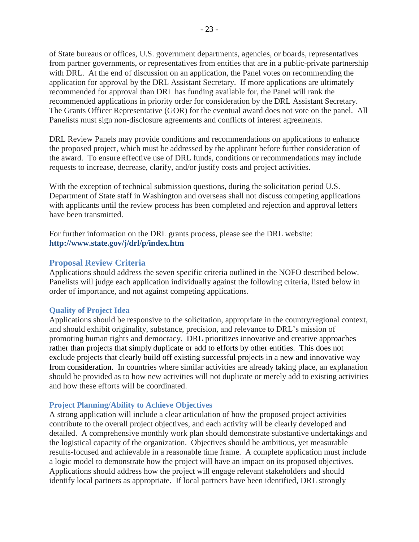of State bureaus or offices, U.S. government departments, agencies, or boards, representatives from partner governments, or representatives from entities that are in a public-private partnership with DRL. At the end of discussion on an application, the Panel votes on recommending the application for approval by the DRL Assistant Secretary. If more applications are ultimately recommended for approval than DRL has funding available for, the Panel will rank the recommended applications in priority order for consideration by the DRL Assistant Secretary. The Grants Officer Representative (GOR) for the eventual award does not vote on the panel. All Panelists must sign non-disclosure agreements and conflicts of interest agreements.

DRL Review Panels may provide conditions and recommendations on applications to enhance the proposed project, which must be addressed by the applicant before further consideration of the award. To ensure effective use of DRL funds, conditions or recommendations may include requests to increase, decrease, clarify, and/or justify costs and project activities.

With the exception of technical submission questions, during the solicitation period U.S. Department of State staff in Washington and overseas shall not discuss competing applications with applicants until the review process has been completed and rejection and approval letters have been transmitted.

For further information on the DRL grants process, please see the DRL website: **<http://www.state.gov/j/drl/p/index.htm>**

#### <span id="page-25-0"></span>**Proposal Review Criteria**

Applications should address the seven specific criteria outlined in the NOFO described below. Panelists will judge each application individually against the following criteria, listed below in order of importance, and not against competing applications.

#### <span id="page-25-1"></span>**Quality of Project Idea**

Applications should be responsive to the solicitation, appropriate in the country/regional context, and should exhibit originality, substance, precision, and relevance to DRL's mission of promoting human rights and democracy. DRL prioritizes innovative and creative approaches rather than projects that simply duplicate or add to efforts by other entities. This does not exclude projects that clearly build off existing successful projects in a new and innovative way from consideration. In countries where similar activities are already taking place, an explanation should be provided as to how new activities will not duplicate or merely add to existing activities and how these efforts will be coordinated.

#### <span id="page-25-2"></span>**Project Planning/Ability to Achieve Objectives**

A strong application will include a clear articulation of how the proposed project activities contribute to the overall project objectives, and each activity will be clearly developed and detailed. A comprehensive monthly work plan should demonstrate substantive undertakings and the logistical capacity of the organization. Objectives should be ambitious, yet measurable results-focused and achievable in a reasonable time frame. A complete application must include a logic model to demonstrate how the project will have an impact on its proposed objectives. Applications should address how the project will engage relevant stakeholders and should identify local partners as appropriate. If local partners have been identified, DRL strongly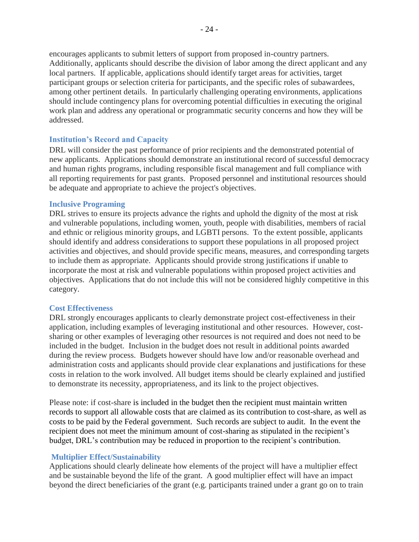encourages applicants to submit letters of support from proposed in-country partners. Additionally, applicants should describe the division of labor among the direct applicant and any local partners. If applicable, applications should identify target areas for activities, target participant groups or selection criteria for participants, and the specific roles of subawardees, among other pertinent details. In particularly challenging operating environments, applications should include contingency plans for overcoming potential difficulties in executing the original work plan and address any operational or programmatic security concerns and how they will be addressed.

#### <span id="page-26-0"></span>**Institution's Record and Capacity**

DRL will consider the past performance of prior recipients and the demonstrated potential of new applicants. Applications should demonstrate an institutional record of successful democracy and human rights programs, including responsible fiscal management and full compliance with all reporting requirements for past grants. Proposed personnel and institutional resources should be adequate and appropriate to achieve the project's objectives.

#### <span id="page-26-1"></span>**Inclusive Programing**

DRL strives to ensure its projects advance the rights and uphold the dignity of the most at risk and vulnerable populations, including women, youth, people with disabilities, members of racial and ethnic or religious minority groups, and LGBTI persons. To the extent possible, applicants should identify and address considerations to support these populations in all proposed project activities and objectives, and should provide specific means, measures, and corresponding targets to include them as appropriate. Applicants should provide strong justifications if unable to incorporate the most at risk and vulnerable populations within proposed project activities and objectives. Applications that do not include this will not be considered highly competitive in this category.

#### <span id="page-26-2"></span>**Cost Effectiveness**

DRL strongly encourages applicants to clearly demonstrate project cost-effectiveness in their application, including examples of leveraging institutional and other resources. However, costsharing or other examples of leveraging other resources is not required and does not need to be included in the budget. Inclusion in the budget does not result in additional points awarded during the review process. Budgets however should have low and/or reasonable overhead and administration costs and applicants should provide clear explanations and justifications for these costs in relation to the work involved. All budget items should be clearly explained and justified to demonstrate its necessity, appropriateness, and its link to the project objectives.

Please note: if cost-share is included in the budget then the recipient must maintain written records to support all allowable costs that are claimed as its contribution to cost-share, as well as costs to be paid by the Federal government. Such records are subject to audit. In the event the recipient does not meet the minimum amount of cost-sharing as stipulated in the recipient's budget, DRL's contribution may be reduced in proportion to the recipient's contribution.

#### <span id="page-26-3"></span>**Multiplier Effect/Sustainability**

Applications should clearly delineate how elements of the project will have a multiplier effect and be sustainable beyond the life of the grant. A good multiplier effect will have an impact beyond the direct beneficiaries of the grant (e.g. participants trained under a grant go on to train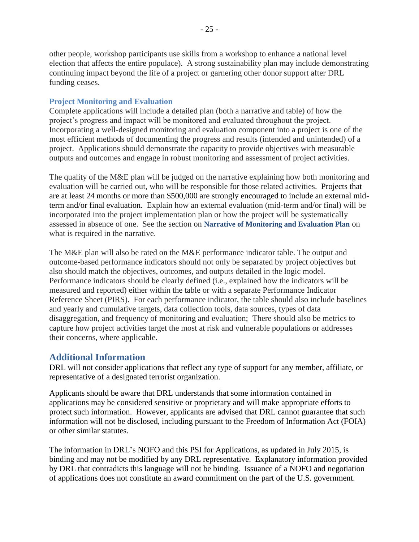- 25 -

other people, workshop participants use skills from a workshop to enhance a national level election that affects the entire populace). A strong sustainability plan may include demonstrating continuing impact beyond the life of a project or garnering other donor support after DRL funding ceases.

## <span id="page-27-0"></span>**Project Monitoring and Evaluation**

Complete applications will include a detailed plan (both a narrative and table) of how the project's progress and impact will be monitored and evaluated throughout the project. Incorporating a well-designed monitoring and evaluation component into a project is one of the most efficient methods of documenting the progress and results (intended and unintended) of a project. Applications should demonstrate the capacity to provide objectives with measurable outputs and outcomes and engage in robust monitoring and assessment of project activities.

The quality of the M&E plan will be judged on the narrative explaining how both monitoring and evaluation will be carried out, who will be responsible for those related activities. Projects that are at least 24 months or more than \$500,000 are strongly encouraged to include an external midterm and/or final evaluation. Explain how an external evaluation (mid-term and/or final) will be incorporated into the project implementation plan or how the project will be systematically assessed in absence of one. See the section on **[Narrative of Monitoring and Evaluation Plan](#page-14-0)** on what is required in the narrative.

The M&E plan will also be rated on the M&E performance indicator table. The output and outcome-based performance indicators should not only be separated by project objectives but also should match the objectives, outcomes, and outputs detailed in the logic model. Performance indicators should be clearly defined (i.e., explained how the indicators will be measured and reported) either within the table or with a separate Performance Indicator Reference Sheet (PIRS). For each performance indicator, the table should also include baselines and yearly and cumulative targets, data collection tools, data sources, types of data disaggregation, and frequency of monitoring and evaluation; There should also be metrics to capture how project activities target the most at risk and vulnerable populations or addresses their concerns, where applicable.

# <span id="page-27-1"></span>**Additional Information**

DRL will not consider applications that reflect any type of support for any member, affiliate, or representative of a designated terrorist organization.

Applicants should be aware that DRL understands that some information contained in applications may be considered sensitive or proprietary and will make appropriate efforts to protect such information. However, applicants are advised that DRL cannot guarantee that such information will not be disclosed, including pursuant to the Freedom of Information Act (FOIA) or other similar statutes.

The information in DRL's NOFO and this PSI for Applications, as updated in July 2015, is binding and may not be modified by any DRL representative. Explanatory information provided by DRL that contradicts this language will not be binding. Issuance of a NOFO and negotiation of applications does not constitute an award commitment on the part of the U.S. government.